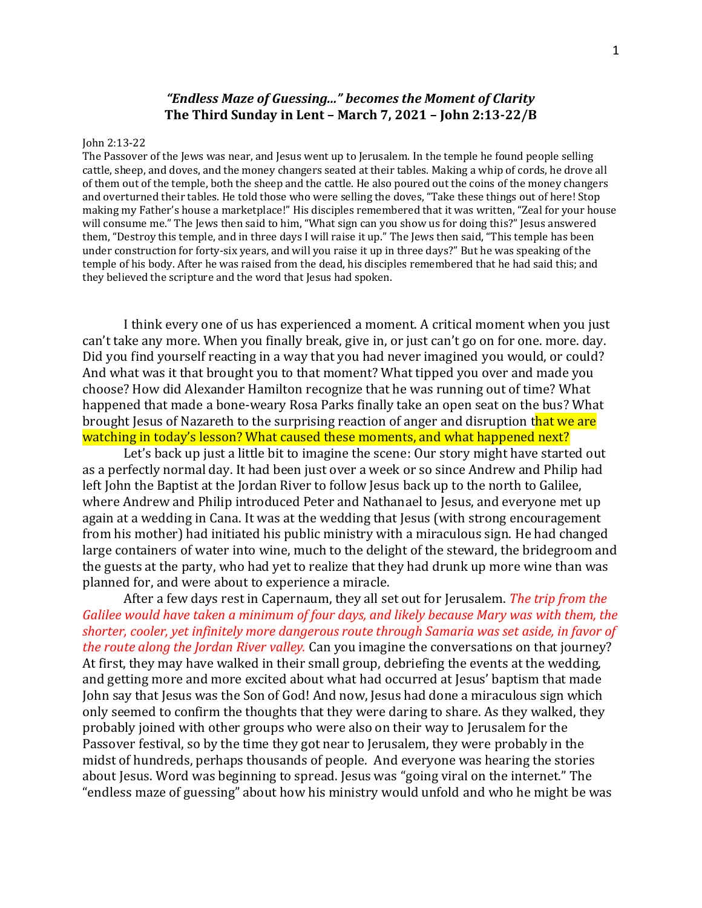## *"Endless Maze of Guessing..." becomes the Moment of Clarity* **The Third Sunday in Lent – March 7, 2021 – John 2:13-22/B**

## John 2:13-22

The Passover of the Jews was near, and Jesus went up to Jerusalem. In the temple he found people selling cattle, sheep, and doves, and the money changers seated at their tables. Making a whip of cords, he drove all of them out of the temple, both the sheep and the cattle. He also poured out the coins of the money changers and overturned their tables. He told those who were selling the doves, "Take these things out of here! Stop making my Father's house a marketplace!" His disciples remembered that it was written, "Zeal for your house will consume me." The Jews then said to him, "What sign can you show us for doing this?" Jesus answered them, "Destroy this temple, and in three days I will raise it up." The Jews then said, "This temple has been under construction for forty-six years, and will you raise it up in three days?" But he was speaking of the temple of his body. After he was raised from the dead, his disciples remembered that he had said this; and they believed the scripture and the word that Jesus had spoken.

I think every one of us has experienced a moment. A critical moment when you just can't take any more. When you finally break, give in, or just can't go on for one. more. day. Did you find yourself reacting in a way that you had never imagined you would, or could? And what was it that brought you to that moment? What tipped you over and made you choose? How did Alexander Hamilton recognize that he was running out of time? What happened that made a bone-weary Rosa Parks finally take an open seat on the bus? What brought Jesus of Nazareth to the surprising reaction of anger and disruption that we are watching in today's lesson? What caused these moments, and what happened next?

Let's back up just a little bit to imagine the scene: Our story might have started out as a perfectly normal day. It had been just over a week or so since Andrew and Philip had left John the Baptist at the Jordan River to follow Jesus back up to the north to Galilee, where Andrew and Philip introduced Peter and Nathanael to Jesus, and everyone met up again at a wedding in Cana. It was at the wedding that Jesus (with strong encouragement from his mother) had initiated his public ministry with a miraculous sign. He had changed large containers of water into wine, much to the delight of the steward, the bridegroom and the guests at the party, who had yet to realize that they had drunk up more wine than was planned for, and were about to experience a miracle.

After a few days rest in Capernaum, they all set out for Jerusalem. *The trip from the Galilee would have taken a minimum of four days, and likely because Mary was with them, the shorter, cooler, yet infinitely more dangerous route through Samaria was set aside, in favor of the route along the Jordan River valley.* Can you imagine the conversations on that journey? At first, they may have walked in their small group, debriefing the events at the wedding, and getting more and more excited about what had occurred at Jesus' baptism that made John say that Jesus was the Son of God! And now, Jesus had done a miraculous sign which only seemed to confirm the thoughts that they were daring to share. As they walked, they probably joined with other groups who were also on their way to Jerusalem for the Passover festival, so by the time they got near to Jerusalem, they were probably in the midst of hundreds, perhaps thousands of people. And everyone was hearing the stories about Jesus. Word was beginning to spread. Jesus was "going viral on the internet." The "endless maze of guessing" about how his ministry would unfold and who he might be was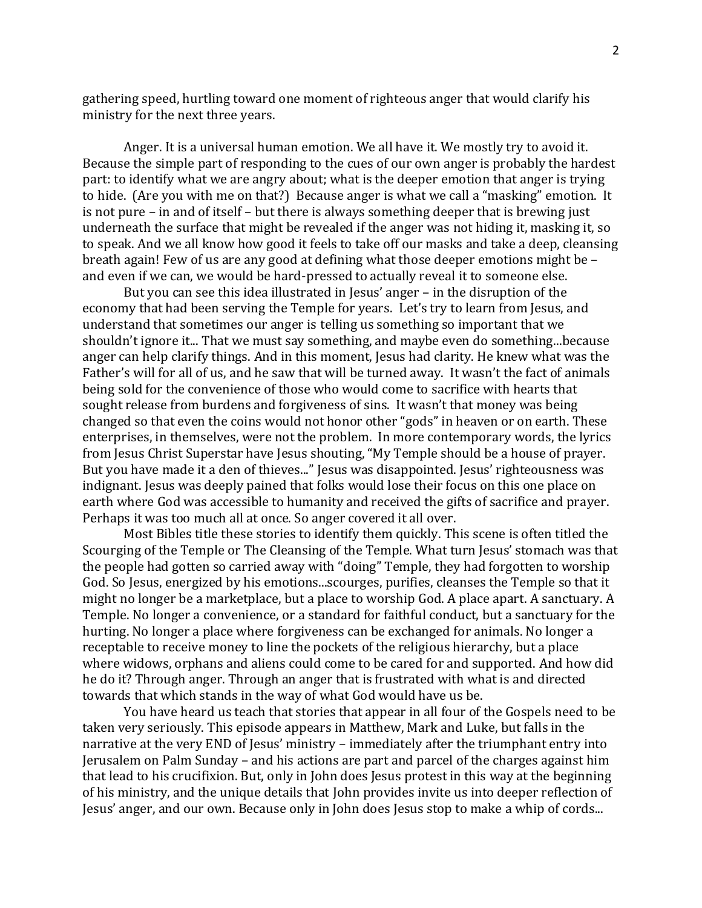gathering speed, hurtling toward one moment of righteous anger that would clarify his ministry for the next three years.

Anger. It is a universal human emotion. We all have it. We mostly try to avoid it. Because the simple part of responding to the cues of our own anger is probably the hardest part: to identify what we are angry about; what is the deeper emotion that anger is trying to hide. (Are you with me on that?) Because anger is what we call a "masking" emotion. It is not pure – in and of itself – but there is always something deeper that is brewing just underneath the surface that might be revealed if the anger was not hiding it, masking it, so to speak. And we all know how good it feels to take off our masks and take a deep, cleansing breath again! Few of us are any good at defining what those deeper emotions might be – and even if we can, we would be hard-pressed to actually reveal it to someone else.

But you can see this idea illustrated in Jesus' anger – in the disruption of the economy that had been serving the Temple for years. Let's try to learn from Jesus, and understand that sometimes our anger is telling us something so important that we shouldn't ignore it... That we must say something, and maybe even do something...because anger can help clarify things. And in this moment, Jesus had clarity. He knew what was the Father's will for all of us, and he saw that will be turned away. It wasn't the fact of animals being sold for the convenience of those who would come to sacrifice with hearts that sought release from burdens and forgiveness of sins. It wasn't that money was being changed so that even the coins would not honor other "gods" in heaven or on earth. These enterprises, in themselves, were not the problem. In more contemporary words, the lyrics from Jesus Christ Superstar have Jesus shouting, "My Temple should be a house of prayer. But you have made it a den of thieves..." Jesus was disappointed. Jesus' righteousness was indignant. Jesus was deeply pained that folks would lose their focus on this one place on earth where God was accessible to humanity and received the gifts of sacrifice and prayer. Perhaps it was too much all at once. So anger covered it all over.

Most Bibles title these stories to identify them quickly. This scene is often titled the Scourging of the Temple or The Cleansing of the Temple. What turn Jesus' stomach was that the people had gotten so carried away with "doing" Temple, they had forgotten to worship God. So Jesus, energized by his emotions...scourges, purifies, cleanses the Temple so that it might no longer be a marketplace, but a place to worship God. A place apart. A sanctuary. A Temple. No longer a convenience, or a standard for faithful conduct, but a sanctuary for the hurting. No longer a place where forgiveness can be exchanged for animals. No longer a receptable to receive money to line the pockets of the religious hierarchy, but a place where widows, orphans and aliens could come to be cared for and supported. And how did he do it? Through anger. Through an anger that is frustrated with what is and directed towards that which stands in the way of what God would have us be.

You have heard us teach that stories that appear in all four of the Gospels need to be taken very seriously. This episode appears in Matthew, Mark and Luke, but falls in the narrative at the very END of Jesus' ministry – immediately after the triumphant entry into Jerusalem on Palm Sunday – and his actions are part and parcel of the charges against him that lead to his crucifixion. But, only in John does Jesus protest in this way at the beginning of his ministry, and the unique details that John provides invite us into deeper reflection of Jesus' anger, and our own. Because only in John does Jesus stop to make a whip of cords...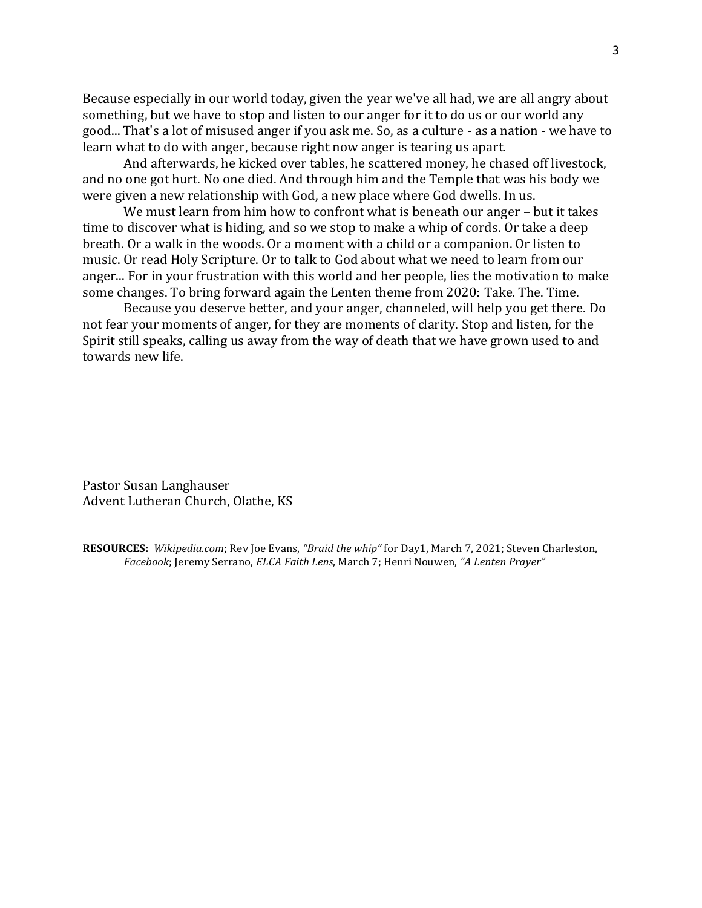Because especially in our world today, given the year we've all had, we are all angry about something, but we have to stop and listen to our anger for it to do us or our world any good... That's a lot of misused anger if you ask me. So, as a culture - as a nation - we have to learn what to do with anger, because right now anger is tearing us apart.

And afterwards, he kicked over tables, he scattered money, he chased off livestock, and no one got hurt. No one died. And through him and the Temple that was his body we were given a new relationship with God, a new place where God dwells. In us.

We must learn from him how to confront what is beneath our anger – but it takes time to discover what is hiding, and so we stop to make a whip of cords. Or take a deep breath. Or a walk in the woods. Or a moment with a child or a companion. Or listen to music. Or read Holy Scripture. Or to talk to God about what we need to learn from our anger... For in your frustration with this world and her people, lies the motivation to make some changes. To bring forward again the Lenten theme from 2020: Take. The. Time.

Because you deserve better, and your anger, channeled, will help you get there. Do not fear your moments of anger, for they are moments of clarity. Stop and listen, for the Spirit still speaks, calling us away from the way of death that we have grown used to and towards new life.

Pastor Susan Langhauser Advent Lutheran Church, Olathe, KS

**RESOURCES:** *Wikipedia.com*; Rev Joe Evans, *"Braid the whip"* for Day1, March 7, 2021; Steven Charleston, *Facebook*; Jeremy Serrano, *ELCA Faith Lens*, March 7; Henri Nouwen, *"A Lenten Prayer"*